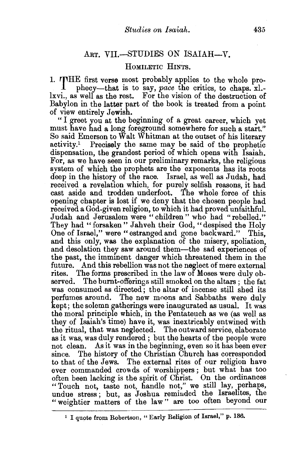## ART. VII.-STUDIES ON ISAIAH-V.

## HOMILETIC HINTS.

1. rrHE first verse most probably applies to the whole prophecy-that is to say, *pace* the critics, to chaps. xl. lxvi., as well as the rest. For the vision of the destruction of Babylon in the latter part of the book is treated from a point of view entirely Jewish.

"I greet you at the beginning of a great career, which yet must have had a long foreground somewhere for such a start." So said Emerson to Walt Whitman at the outset of his literary activity.1 Precisely the same may be said of the prophetic dispensation, the grandest period of which opens with Isaiah. For, as we have seen in our preliminary remarks, the religious system of which the prophets are the exponents has its roots deep in the history of the race. Israel, as well as Judah, had received a revelation which, for purely selfish reasons, it had cast aside and trodden underfoot. The whole force of this opening chapter is lost if we deny that the chosen people had received a God-given religion, to which it had proved unfaithful. Judah and Jerusalem were " children " who had "rebelled." They had "forsaken" Jahveh their God, "despised the Holy One of Israel," were "estranged and gone backward." This, and this only, was the explanation of the misery, spoliation, and desolation they saw around them-the sad experiences of the past, the imminent danger which threatened them in the future. And this rebellion was not the neglect of mere external rites. The forms prescribed in the law of Moses were duly observed. The burnt-offerings still smoked on the altars ; the fat was consumed as directed; the altar of incense still shed its perfumes around. The new moons and Sabbaths were duly kept; the solemn gatherings were inaugurated as usual. It was the moral principle which, in the Pentateuch as we (as well as they of Isaiah's time) have it, was inextricably entwined with the ritual, that was neglected. The outward service, elaborate as it was, was duly rendered ; but the hearts of the people were not clean. As it was in the beginning, even so it has been ever since. The history of the Christian Church has corresponded to that of the Jews. The external rites of our religion have ever commanded crowds of worshippers; but what has too often been lacking is the spirit of Christ. On the ordinances " Touch not, taste not, handle not," we still lay, perhaps, undue stress; but, as Joshua reminded the Israelites, the "weightier matters of the law" are too often beyond our

<sup>&</sup>lt;sup>1</sup> I quote from Robertson, "Early Religion of Israel," p. 136.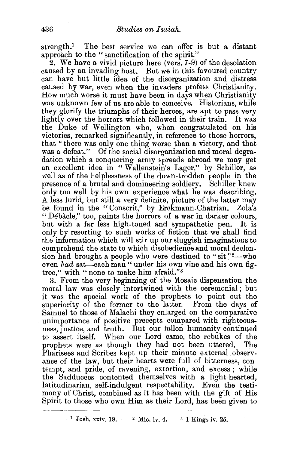strength.<sup>1</sup> The best service we can offer is but a distant approach to the "sanctification of the spirit."

2. We have a vivid picture here (vers. 7 -9) of the desolation caused by an invading host. But we in this favoured country can have but little idea of the disorganization and distress caused by war, even when the invaders profess Christianity. How much worse it must have been in. days when Christianity was unknown few of us are able to conceive. Historians, while they glorify the triumphs of their heroes, are apt to pass very lightly over the horrors which followed in their train. It was the Duke of Wellington who, when congratulated on his victories, remarked significantly, in reference to those horrors, that "there was only one thing worse than a victory, and that was a defeat." Of the social disorganization and moral degradation which a conquering army spreads abroad we may get an excellent idea in " Wallenstein's Lager," by Schiller, as well as of the helplessness of the down-trodden people in the presence of a brutal and domineering soldiery. Schiller knew only too well by his own experience what he was describing. A less lurid, but still a very definite, picture of the latter may be found in the "Conscrit," by Erckmann-Chatrian. Zola's " Debacle," too, paints the horrors of a war in darker colours, but with a far less high-toned and sympathetic pen. It is only by resorting to such works of fiction that we shall find the information which will stir up our sluggish imaginations to comprehend the state to which disobedience and moral declension had brought a people who were destined to "sit"<sup>2</sup>—who even *had* sat-each man "under his own vine and his own figtree," with "none to make him afraid."<sup>3</sup>

3. From the very beginning of the Mosaic dispensation the moral law was closely intertwined with the ceremonial; but it was the special work of the prophets to point out the superiority of the former to the latter. From the days of Samuel to those of Malachi they enlarged on the comparative unimportance of positive precepts compared with righteousness, justice, and truth. But our fallen humanity continued to assert itself. When our Lord came, the rebukes of the prophets were as though they had not been uttered. The Pharisees and Scribes kept up their minute external observance of the law, but their hearts were full of bitterness, contempt, and pride, of ravening, extortion, and excess; while the 8adducees contented themselves with a light-hearted, latitudinarian, self-indulgent respectability. Even the testimony of Christ, combined as it has been with the gift of His Spirit to those who own Him as their Lord, has been given to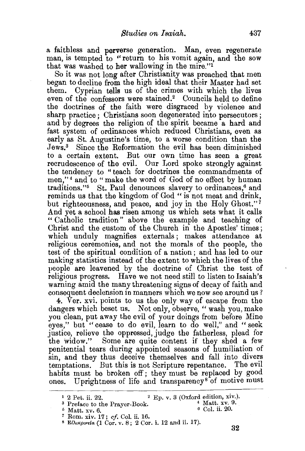a faithless and perverse generation. Man, even regenerate man, is tempted to "return to his vomit again, and the sow that was washed to her wallowing in the mire."1

So it was not long after Christianity was preached that men began to decline from the high ideal that their Master had set them. Cyprian tells us of the crimes with which the lives even of the confessors were stained.<sup>2</sup> Councils held to define the doctrines of the faith were disgraced by violence and sharp practice ; Christians soon degenerated into persecutors; and by degrees the religion of the spirit became a hard and fast system of ordinances which reduced Christians, even as early as St. Augustine's time, to a worse condition than the Jews.3 Since the Reformation the evil has been diminished to a certain extent. But our own time has seen a great recrudescence of the evil. Our Lord spoke strongly against the tendency to "teach for doctrines the commandments of men,"<sup>4</sup> and to "make the word of God of no effect by human traditions."<sup>5</sup> St. Paul denounces slavery to ordinances,<sup>6</sup> and reminds us that the kingdom of God " is not meat and drink, but righteousness, and peace, and joy in the Holy Ghost."<sup>7</sup> And yet a school has risen among us which sets what it calls " Catholic tradition" above the example and teaching of Christ and the custom of the Church in the Apostles' times ; which unduly magnifies externals; makes attendance at religious ceremonies, and not the morals of the people, the test of the spiritual condition of a nation ; and has led to our making statistics instead of the extent to which the lives of the people are leavened by the doctrine of Christ the test of religious progress. Have we not need still to listen to Isaiah's warning amid the many threatening signs of decay of faith and consequent declension in manners which we now see around us?

4. Ver. xvi. points to us the only way of escape from the dangers which beset us. Not only, observe, "wash you, make you clean, put away the evil of your doings from before Mine eyes," but "cease to do evil, learn to do well," and " seek justice, relieve the oppressed, judge the fatherless, plead for the widow." Some are quite content if they shed a few penitential tears during appointed seasons of humiliation of sin, and they thus deceive themselves and fall into divers temptations. But this is not Scripture repentance. The evil habits must be broken off; they must be replaced by good ones. Uprightness of life and transparency<sup>8</sup> of motive must

<sup>&</sup>lt;sup>1</sup> 2 Pet. ii. 22. <sup>2</sup> Ep. v. 3 (Oxford edition, xiv.).<br><sup>3</sup> Preface to the Prayer-Book. <sup>4</sup> Matt. xv. 9.<br><sup>5</sup> Matt. xv. 6. 6 6 Col. ii. 20.

<sup>&</sup>lt;sup>7</sup> Rom. xiv. 17; *cf*. Col. ii. 16.<br><sup>8</sup> Ε*ίλικρινεία* (1 Cor. v. 8; 2 Cor. i. 12 and ii. 17). 32